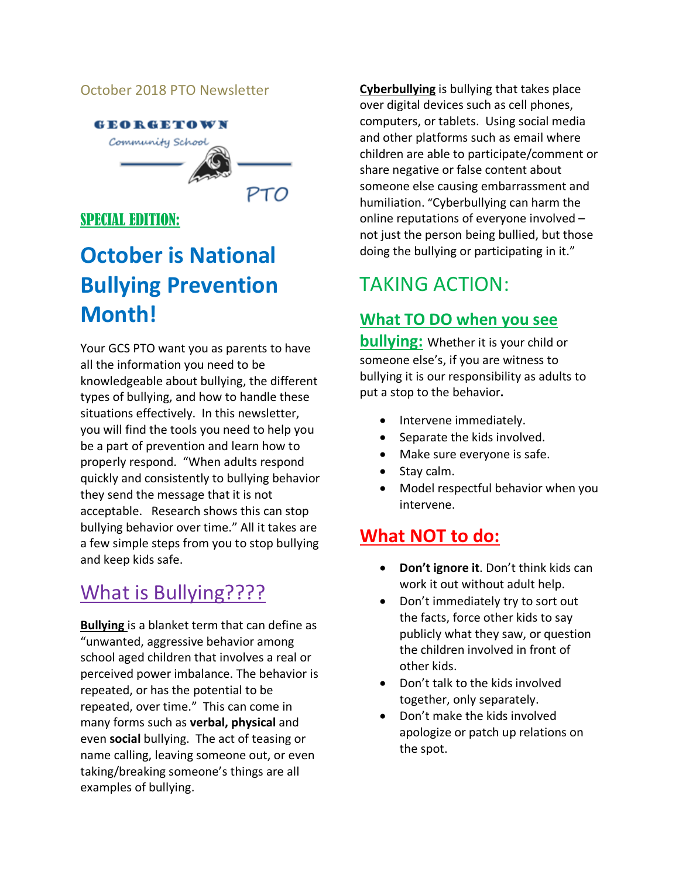#### October 2018 PTO Newsletter



#### SPECIAL EDITION:

# **October is National Bullying Prevention Month!**

Your GCS PTO want you as parents to have all the information you need to be knowledgeable about bullying, the different types of bullying, and how to handle these situations effectively. In this newsletter, you will find the tools you need to help you be a part of prevention and learn how to properly respond. "When adults respond quickly and consistently to bullying behavior they send the message that it is not acceptable. Research shows this can stop bullying behavior over time." All it takes are a few simple steps from you to stop bullying and keep kids safe.

# What is Bullying????

**Bullying** is a blanket term that can define as "unwanted, aggressive behavior among school aged children that involves a real or perceived power imbalance. The behavior is repeated, or has the potential to be repeated, over time." This can come in many forms such as **verbal, physical** and even **social** bullying. The act of teasing or name calling, leaving someone out, or even taking/breaking someone's things are all examples of bullying.

**Cyberbullying** is bullying that takes place over digital devices such as cell phones, computers, or tablets. Using social media and other platforms such as email where children are able to participate/comment or share negative or false content about someone else causing embarrassment and humiliation. "Cyberbullying can harm the online reputations of everyone involved – not just the person being bullied, but those doing the bullying or participating in it."

# TAKING ACTION:

#### **What TO DO when you see**

**bullying:** Whether it is your child or someone else's, if you are witness to bullying it is our responsibility as adults to put a stop to the behavior**.**

- Intervene immediately.
- Separate the kids involved.
- Make sure everyone is safe.
- Stay calm.
- Model respectful behavior when you intervene.

### **What NOT to do:**

- **Don't ignore it**. Don't think kids can work it out without adult help.
- Don't immediately try to sort out the facts, force other kids to say publicly what they saw, or question the children involved in front of other kids.
- Don't talk to the kids involved together, only separately.
- Don't make the kids involved apologize or patch up relations on the spot.